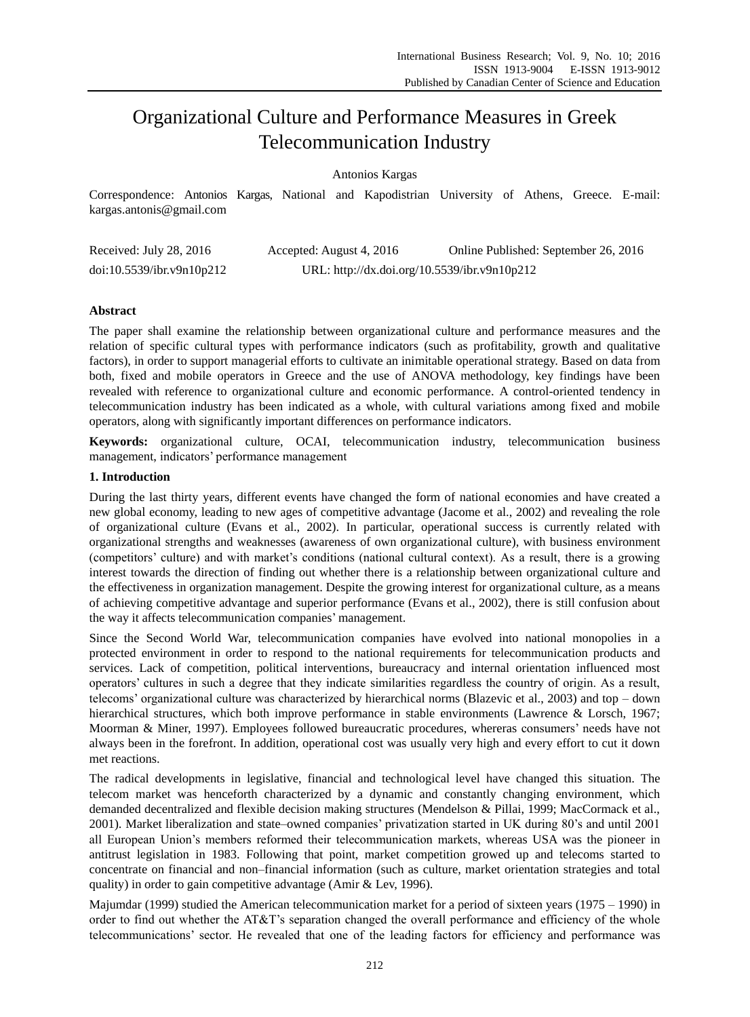# Organizational Culture and Performance Measures in Greek Telecommunication Industry

Antonios Kargas

Correspondence: Antonios Kargas, National and Kapodistrian University of Athens, Greece. E-mail: kargas.antonis@gmail.com

| Received: July 28, 2016   | Accepted: August 4, 2016                     | Online Published: September 26, 2016 |
|---------------------------|----------------------------------------------|--------------------------------------|
| doi:10.5539/ibr.v9n10p212 | URL: http://dx.doi.org/10.5539/ibr.v9n10p212 |                                      |

# **Abstract**

The paper shall examine the relationship between organizational culture and performance measures and the relation of specific cultural types with performance indicators (such as profitability, growth and qualitative factors), in order to support managerial efforts to cultivate an inimitable operational strategy. Based on data from both, fixed and mobile operators in Greece and the use of ANOVA methodology, key findings have been revealed with reference to organizational culture and economic performance. A control-oriented tendency in telecommunication industry has been indicated as a whole, with cultural variations among fixed and mobile operators, along with significantly important differences on performance indicators.

**Keywords:** organizational culture, OCAI, telecommunication industry, telecommunication business management, indicators" performance management

# **1. Introduction**

During the last thirty years, different events have changed the form of national economies and have created a new global economy, leading to new ages of competitive advantage (Jacome et al., 2002) and revealing the role of organizational culture (Evans et al., 2002). In particular, operational success is currently related with organizational strengths and weaknesses (awareness of own organizational culture), with business environment (competitors" culture) and with market"s conditions (national cultural context). As a result, there is a growing interest towards the direction of finding out whether there is a relationship between organizational culture and the effectiveness in organization management. Despite the growing interest for organizational culture, as a means of achieving competitive advantage and superior performance (Evans et al., 2002), there is still confusion about the way it affects telecommunication companies' management.

Since the Second World War, telecommunication companies have evolved into national monopolies in a protected environment in order to respond to the national requirements for telecommunication products and services. Lack of competition, political interventions, bureaucracy and internal orientation influenced most operators" cultures in such a degree that they indicate similarities regardless the country of origin. As a result, telecoms" organizational culture was characterized by hierarchical norms (Blazevic et al., 2003) and top – down hierarchical structures, which both improve performance in stable environments (Lawrence & Lorsch, 1967; Moorman & Miner, 1997). Employees followed bureaucratic procedures, whereras consumers" needs have not always been in the forefront. In addition, operational cost was usually very high and every effort to cut it down met reactions.

The radical developments in legislative, financial and technological level have changed this situation. The telecom market was henceforth characterized by a dynamic and constantly changing environment, which demanded decentralized and flexible decision making structures (Mendelson & Pillai, 1999; MacCormack et al., 2001). Market liberalization and state–owned companies" privatization started in UK during 80"s and until 2001 all European Union"s members reformed their telecommunication markets, whereas USA was the pioneer in antitrust legislation in 1983. Following that point, market competition growed up and telecoms started to concentrate on financial and non–financial information (such as culture, market orientation strategies and total quality) in order to gain competitive advantage (Amir & Lev, 1996).

Majumdar (1999) studied the American telecommunication market for a period of sixteen years (1975 – 1990) in order to find out whether the AT&T"s separation changed the overall performance and efficiency of the whole telecommunications" sector. He revealed that one of the leading factors for efficiency and performance was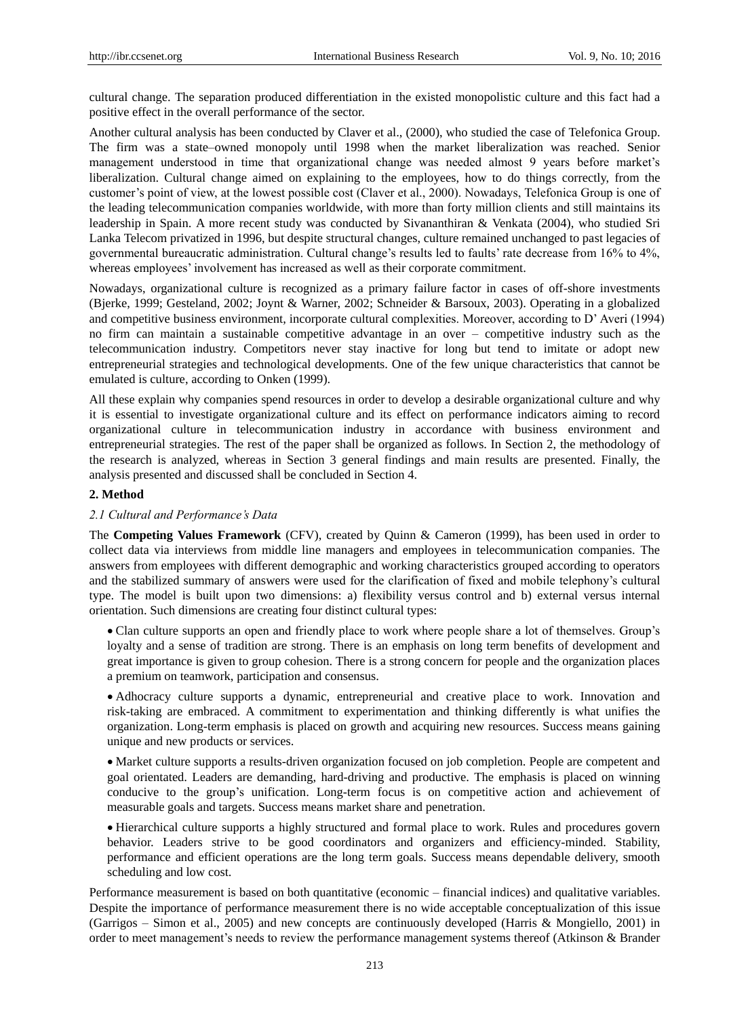cultural change. The separation produced differentiation in the existed monopolistic culture and this fact had a positive effect in the overall performance of the sector.

Another cultural analysis has been conducted by Claver et al., (2000), who studied the case of Telefonica Group. The firm was a state–owned monopoly until 1998 when the market liberalization was reached. Senior management understood in time that organizational change was needed almost 9 years before market"s liberalization. Cultural change aimed on explaining to the employees, how to do things correctly, from the customer"s point of view, at the lowest possible cost (Claver et al., 2000). Nowadays, Telefonica Group is one of the leading telecommunication companies worldwide, with more than forty million clients and still maintains its leadership in Spain. A more recent study was conducted by Sivananthiran & Venkata (2004), who studied Sri Lanka Telecom privatized in 1996, but despite structural changes, culture remained unchanged to past legacies of governmental bureaucratic administration. Cultural change"s results led to faults" rate decrease from 16% to 4%, whereas employees' involvement has increased as well as their corporate commitment.

Nowadays, organizational culture is recognized as a primary failure factor in cases of off-shore investments (Bjerke, 1999; Gesteland, 2002; Joynt & Warner, 2002; Schneider & Barsoux, 2003). Operating in a globalized and competitive business environment, incorporate cultural complexities. Moreover, according to D" Averi (1994) no firm can maintain a sustainable competitive advantage in an over – competitive industry such as the telecommunication industry. Competitors never stay inactive for long but tend to imitate or adopt new entrepreneurial strategies and technological developments. One of the few unique characteristics that cannot be emulated is culture, according to Onken (1999).

All these explain why companies spend resources in order to develop a desirable organizational culture and why it is essential to investigate organizational culture and its effect on performance indicators aiming to record organizational culture in telecommunication industry in accordance with business environment and entrepreneurial strategies. The rest of the paper shall be organized as follows. In Section 2, the methodology of the research is analyzed, whereas in Section 3 general findings and main results are presented. Finally, the analysis presented and discussed shall be concluded in Section 4.

#### **2. Method**

#### *2.1 Cultural and Performance's Data*

The **Competing Values Framework** (CFV), created by Quinn & Cameron (1999), has been used in order to collect data via interviews from middle line managers and employees in telecommunication companies. The answers from employees with different demographic and working characteristics grouped according to operators and the stabilized summary of answers were used for the clarification of fixed and mobile telephony"s cultural type. The model is built upon two dimensions: a) flexibility versus control and b) external versus internal orientation. Such dimensions are creating four distinct cultural types:

• Clan culture supports an open and friendly place to work where people share a lot of themselves. Group's loyalty and a sense of tradition are strong. There is an emphasis on long term benefits of development and great importance is given to group cohesion. There is a strong concern for people and the organization places a premium on teamwork, participation and consensus.

 Adhocracy culture supports a dynamic, entrepreneurial and creative place to work. Innovation and risk-taking are embraced. A commitment to experimentation and thinking differently is what unifies the organization. Long-term emphasis is placed on growth and acquiring new resources. Success means gaining unique and new products or services.

• Market culture supports a results-driven organization focused on job completion. People are competent and goal orientated. Leaders are demanding, hard-driving and productive. The emphasis is placed on winning conducive to the group"s unification. Long-term focus is on competitive action and achievement of measurable goals and targets. Success means market share and penetration.

 Hierarchical culture supports a highly structured and formal place to work. Rules and procedures govern behavior. Leaders strive to be good coordinators and organizers and efficiency-minded. Stability, performance and efficient operations are the long term goals. Success means dependable delivery, smooth scheduling and low cost.

Performance measurement is based on both quantitative (economic – financial indices) and qualitative variables. Despite the importance of performance measurement there is no wide acceptable conceptualization of this issue (Garrigos – Simon et al., 2005) and new concepts are continuously developed (Harris & Mongiello, 2001) in order to meet management"s needs to review the performance management systems thereof (Atkinson & Brander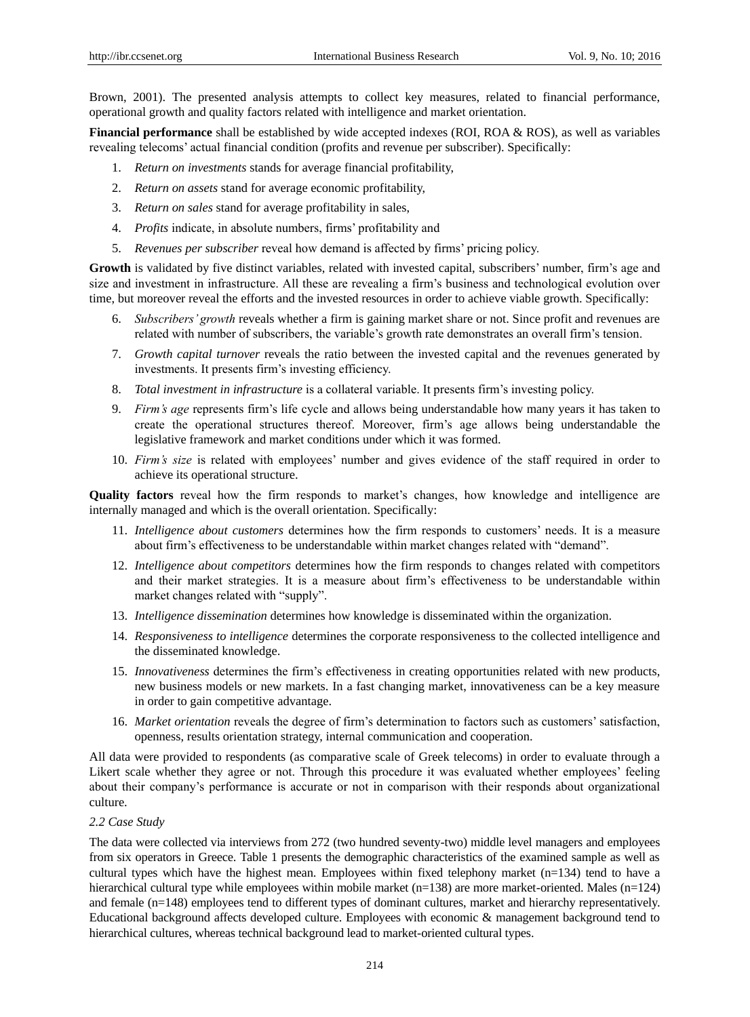Brown, 2001). The presented analysis attempts to collect key measures, related to financial performance, operational growth and quality factors related with intelligence and market orientation.

**Financial performance** shall be established by wide accepted indexes (ROI, ROA & ROS), as well as variables revealing telecoms" actual financial condition (profits and revenue per subscriber). Specifically:

- 1. *Return on investments* stands for average financial profitability,
- 2. *Return on assets* stand for average economic profitability,
- 3. *Return on sales* stand for average profitability in sales,
- 4. *Profits* indicate, in absolute numbers, firms" profitability and
- 5. *Revenues per subscriber* reveal how demand is affected by firms" pricing policy.

Growth is validated by five distinct variables, related with invested capital, subscribers' number, firm's age and size and investment in infrastructure. All these are revealing a firm"s business and technological evolution over time, but moreover reveal the efforts and the invested resources in order to achieve viable growth. Specifically:

- 6. *Subscribers' growth* reveals whether a firm is gaining market share or not. Since profit and revenues are related with number of subscribers, the variable"s growth rate demonstrates an overall firm"s tension.
- 7. *Growth capital turnover* reveals the ratio between the invested capital and the revenues generated by investments. It presents firm"s investing efficiency.
- 8. *Total investment in infrastructure* is a collateral variable. It presents firm"s investing policy.
- 9. *Firm's age* represents firm"s life cycle and allows being understandable how many years it has taken to create the operational structures thereof. Moreover, firm"s age allows being understandable the legislative framework and market conditions under which it was formed.
- 10. *Firm's size* is related with employees" number and gives evidence of the staff required in order to achieve its operational structure.

**Quality factors** reveal how the firm responds to market"s changes, how knowledge and intelligence are internally managed and which is the overall orientation. Specifically:

- 11. *Intelligence about customers* determines how the firm responds to customers" needs. It is a measure about firm"s effectiveness to be understandable within market changes related with "demand".
- 12. *Intelligence about competitors* determines how the firm responds to changes related with competitors and their market strategies. It is a measure about firm"s effectiveness to be understandable within market changes related with "supply".
- 13. *Intelligence dissemination* determines how knowledge is disseminated within the organization.
- 14. *Responsiveness to intelligence* determines the corporate responsiveness to the collected intelligence and the disseminated knowledge.
- 15. *Innovativeness* determines the firm"s effectiveness in creating opportunities related with new products, new business models or new markets. In a fast changing market, innovativeness can be a key measure in order to gain competitive advantage.
- 16. *Market orientation* reveals the degree of firm"s determination to factors such as customers" satisfaction, openness, results orientation strategy, internal communication and cooperation.

All data were provided to respondents (as comparative scale of Greek telecoms) in order to evaluate through a Likert scale whether they agree or not. Through this procedure it was evaluated whether employees" feeling about their company"s performance is accurate or not in comparison with their responds about organizational culture.

# *2.2 Case Study*

The data were collected via interviews from 272 (two hundred seventy-two) middle level managers and employees from six operators in Greece. Table 1 presents the demographic characteristics of the examined sample as well as cultural types which have the highest mean. Employees within fixed telephony market (n=134) tend to have a hierarchical cultural type while employees within mobile market (n=138) are more market-oriented. Males (n=124) and female (n=148) employees tend to different types of dominant cultures, market and hierarchy representatively. Educational background affects developed culture. Employees with economic & management background tend to hierarchical cultures, whereas technical background lead to market-oriented cultural types.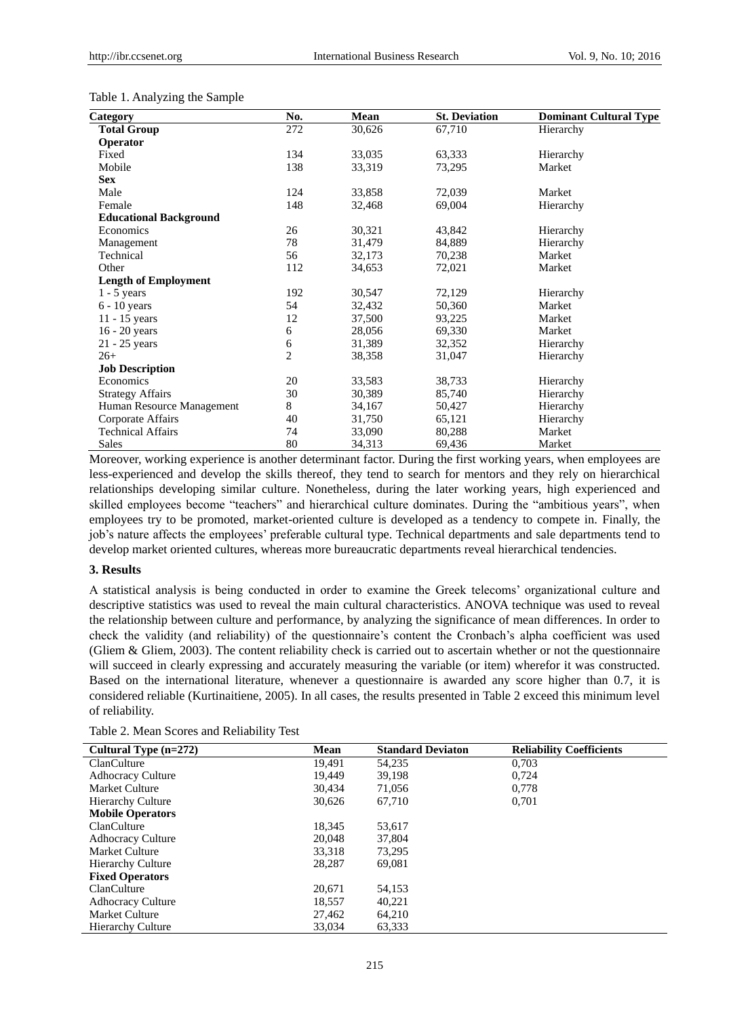## Table 1. Analyzing the Sample

| Category                      | No.            | Mean   | <b>St. Deviation</b> | <b>Dominant Cultural Type</b> |
|-------------------------------|----------------|--------|----------------------|-------------------------------|
| <b>Total Group</b>            | 272            | 30,626 | 67,710               | Hierarchy                     |
| Operator                      |                |        |                      |                               |
| Fixed                         | 134            | 33,035 | 63,333               | Hierarchy                     |
| Mobile                        | 138            | 33,319 | 73,295               | Market                        |
| <b>Sex</b>                    |                |        |                      |                               |
| Male                          | 124            | 33,858 | 72,039               | Market                        |
| Female                        | 148            | 32,468 | 69,004               | Hierarchy                     |
| <b>Educational Background</b> |                |        |                      |                               |
| Economics                     | 26             | 30,321 | 43,842               | Hierarchy                     |
| Management                    | 78             | 31,479 | 84,889               | Hierarchy                     |
| Technical                     | 56             | 32,173 | 70,238               | Market                        |
| Other                         | 112            | 34,653 | 72,021               | Market                        |
| <b>Length of Employment</b>   |                |        |                      |                               |
| $1 - 5$ years                 | 192            | 30,547 | 72,129               | Hierarchy                     |
| $6 - 10$ years                | 54             | 32,432 | 50,360               | Market                        |
| 11 - 15 years                 | 12             | 37,500 | 93,225               | Market                        |
| $16 - 20$ years               | 6              | 28,056 | 69,330               | Market                        |
| 21 - 25 years                 | 6              | 31,389 | 32,352               | Hierarchy                     |
| $26+$                         | $\overline{c}$ | 38,358 | 31,047               | Hierarchy                     |
| <b>Job Description</b>        |                |        |                      |                               |
| Economics                     | 20             | 33,583 | 38,733               | Hierarchy                     |
| <b>Strategy Affairs</b>       | 30             | 30,389 | 85,740               | Hierarchy                     |
| Human Resource Management     | 8              | 34,167 | 50,427               | Hierarchy                     |
| Corporate Affairs             | 40             | 31,750 | 65,121               | Hierarchy                     |
| <b>Technical Affairs</b>      | 74             | 33,090 | 80,288               | Market                        |
| Sales                         | 80             | 34,313 | 69,436               | Market                        |

Moreover, working experience is another determinant factor. During the first working years, when employees are less-experienced and develop the skills thereof, they tend to search for mentors and they rely on hierarchical relationships developing similar culture. Nonetheless, during the later working years, high experienced and skilled employees become "teachers" and hierarchical culture dominates. During the "ambitious years", when employees try to be promoted, market-oriented culture is developed as a tendency to compete in. Finally, the job"s nature affects the employees" preferable cultural type. Technical departments and sale departments tend to develop market oriented cultures, whereas more bureaucratic departments reveal hierarchical tendencies.

#### **3. Results**

Α statistical analysis is being conducted in order to examine the Greek telecoms" organizational culture and descriptive statistics was used to reveal the main cultural characteristics. ANOVA technique was used to reveal the relationship between culture and performance, by analyzing the significance of mean differences. In order to check the validity (and reliability) of the questionnaire's content the Cronbach's alpha coefficient was used (Gliem & Gliem, 2003). The content reliability check is carried out to ascertain whether or not the questionnaire will succeed in clearly expressing and accurately measuring the variable (or item) wherefor it was constructed. Based on the international literature, whenever a questionnaire is awarded any score higher than 0.7, it is considered reliable (Kurtinaitiene, 2005). In all cases, the results presented in Table 2 exceed this minimum level of reliability.

| Cultural Type $(n=272)$  | Mean   | <b>Standard Deviaton</b> | <b>Reliability Coefficients</b> |
|--------------------------|--------|--------------------------|---------------------------------|
| ClanCulture              | 19.491 | 54,235                   | 0.703                           |
| <b>Adhocracy Culture</b> | 19.449 | 39,198                   | 0.724                           |
| Market Culture           | 30.434 | 71,056                   | 0.778                           |
| <b>Hierarchy Culture</b> | 30.626 | 67.710                   | 0.701                           |
| <b>Mobile Operators</b>  |        |                          |                                 |
| ClanCulture              | 18.345 | 53.617                   |                                 |
| <b>Adhocracy Culture</b> | 20,048 | 37,804                   |                                 |
| <b>Market Culture</b>    | 33.318 | 73.295                   |                                 |
| <b>Hierarchy Culture</b> | 28,287 | 69.081                   |                                 |
| <b>Fixed Operators</b>   |        |                          |                                 |
| ClanCulture              | 20,671 | 54,153                   |                                 |
| <b>Adhocracy Culture</b> | 18.557 | 40.221                   |                                 |
| Market Culture           | 27,462 | 64,210                   |                                 |
| <b>Hierarchy Culture</b> | 33,034 | 63.333                   |                                 |

Table 2. Mean Scores and Reliability Test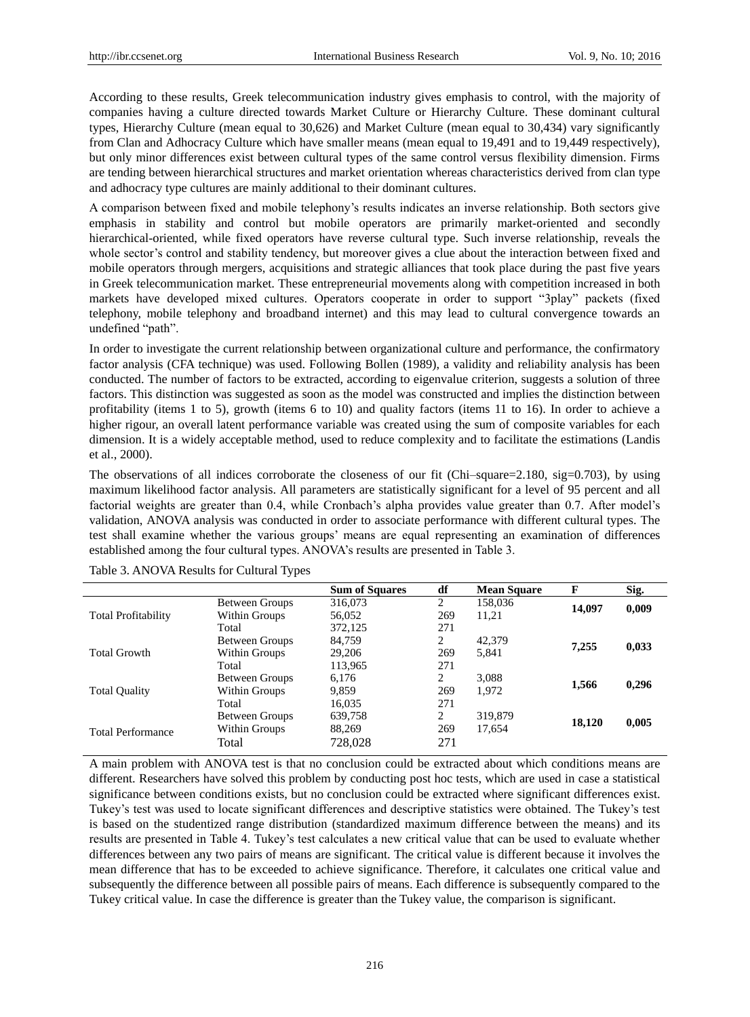According to these results, Greek telecommunication industry gives emphasis to control, with the majority of companies having a culture directed towards Market Culture or Hierarchy Culture. These dominant cultural types, Hierarchy Culture (mean equal to 30,626) and Market Culture (mean equal to 30,434) vary significantly from Clan and Adhocracy Culture which have smaller means (mean equal to 19,491 and to 19,449 respectively), but only minor differences exist between cultural types of the same control versus flexibility dimension. Firms are tending between hierarchical structures and market orientation whereas characteristics derived from clan type and adhocracy type cultures are mainly additional to their dominant cultures.

A comparison between fixed and mobile telephony"s results indicates an inverse relationship. Both sectors give emphasis in stability and control but mobile operators are primarily market-oriented and secondly hierarchical-oriented, while fixed operators have reverse cultural type. Such inverse relationship, reveals the whole sector's control and stability tendency, but moreover gives a clue about the interaction between fixed and mobile operators through mergers, acquisitions and strategic alliances that took place during the past five years in Greek telecommunication market. These entrepreneurial movements along with competition increased in both markets have developed mixed cultures. Operators cooperate in order to support "3play" packets (fixed telephony, mobile telephony and broadband internet) and this may lead to cultural convergence towards an undefined "path".

In order to investigate the current relationship between organizational culture and performance, the confirmatory factor analysis (CFA technique) was used. Following Bollen (1989), a validity and reliability analysis has been conducted. The number of factors to be extracted, according to eigenvalue criterion, suggests a solution of three factors. This distinction was suggested as soon as the model was constructed and implies the distinction between profitability (items 1 to 5), growth (items 6 to 10) and quality factors (items 11 to 16). In order to achieve a higher rigour, an overall latent performance variable was created using the sum of composite variables for each dimension. It is a widely acceptable method, used to reduce complexity and to facilitate the estimations (Landis et al., 2000).

The observations of all indices corroborate the closeness of our fit (Chi–square=2.180, sig=0.703), by using maximum likelihood factor analysis. All parameters are statistically significant for a level of 95 percent and all factorial weights are greater than 0.4, while Cronbach's alpha provides value greater than 0.7. After model's validation, ANOVA analysis was conducted in order to associate performance with different cultural types. The test shall examine whether the various groups" means are equal representing an examination of differences established among the four cultural types. ANOVA"s results are presented in Table 3.

|                          |                       | <b>Sum of Squares</b> | df  | <b>Mean Square</b> | F      | Sig.  |
|--------------------------|-----------------------|-----------------------|-----|--------------------|--------|-------|
| Total Profitability      | Between Groups        | 316,073               | 2   | 158,036            |        | 0,009 |
|                          | Within Groups         | 56,052                | 269 | 11,21              | 14,097 |       |
|                          | Total                 | 372,125               | 271 |                    |        |       |
|                          | <b>Between Groups</b> | 84.759                | 2   | 42,379             |        | 0,033 |
| <b>Total Growth</b>      | Within Groups         | 29,206                | 269 | 5,841              | 7,255  |       |
|                          | Total                 | 113,965               | 271 |                    |        |       |
|                          | <b>Between Groups</b> | 6,176                 | 2   | 3,088              |        | 0,296 |
| <b>Total Quality</b>     | Within Groups         | 9.859                 | 269 | 1,972              | 1,566  |       |
|                          | Total                 | 16.035                | 271 |                    |        |       |
| <b>Total Performance</b> | Between Groups        | 639.758               | 2   | 319,879            |        | 0,005 |
|                          | Within Groups         | 88.269                | 269 | 17,654             | 18,120 |       |
|                          | Total                 | 728,028               | 271 |                    |        |       |

Table 3. ANOVA Results for Cultural Types

A main problem with ANOVA test is that no conclusion could be extracted about which conditions means are different. Researchers have solved this problem by conducting post hoc tests, which are used in case a statistical significance between conditions exists, but no conclusion could be extracted where significant differences exist. Tukey"s test was used to locate significant differences and descriptive statistics were obtained. The Tukey"s test is based on the studentized range distribution (standardized maximum difference between the means) and its results are presented in Table 4. Tukey"s test calculates a new critical value that can be used to evaluate whether differences between any two pairs of means are significant. The critical value is different because it involves the mean difference that has to be exceeded to achieve significance. Therefore, it calculates one critical value and subsequently the difference between all possible pairs of means. Each difference is subsequently compared to the Tukey critical value. In case the difference is greater than the Tukey value, the comparison is significant.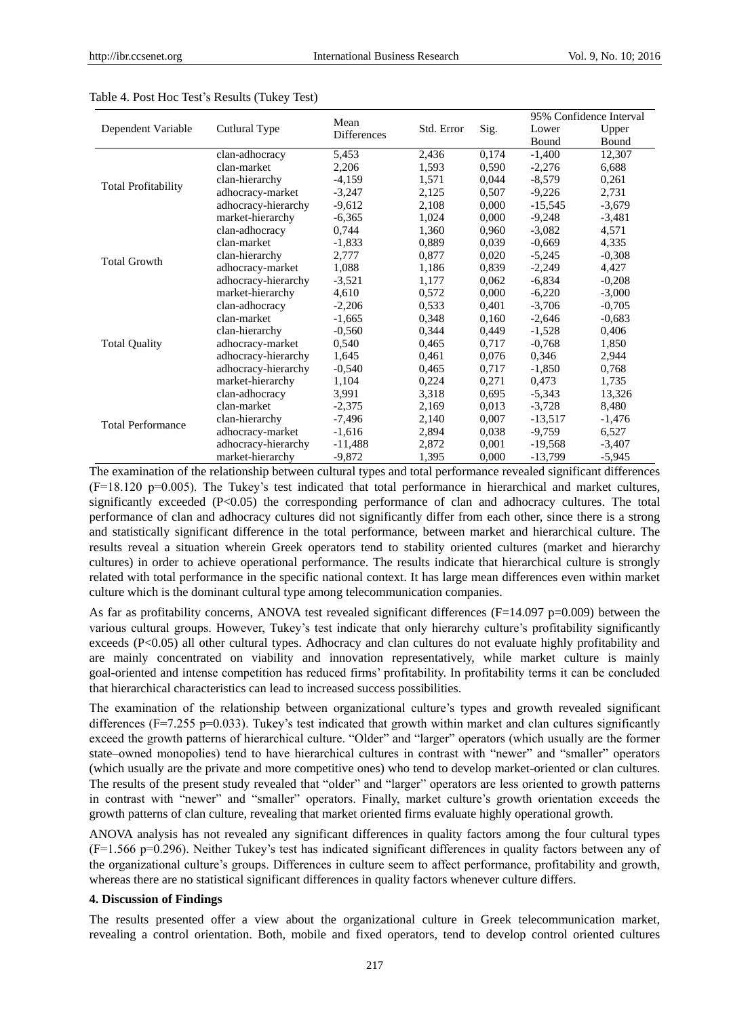|                            | Cutlural Type       | Mean<br>Differences | Std. Error | Sig.  | 95% Confidence Interval |          |  |
|----------------------------|---------------------|---------------------|------------|-------|-------------------------|----------|--|
| Dependent Variable         |                     |                     |            |       | Lower                   | Upper    |  |
|                            |                     |                     |            |       | Bound                   | Bound    |  |
|                            | clan-adhocracy      | 5,453               | 2,436      | 0,174 | $-1,400$                | 12,307   |  |
|                            | clan-market         | 2,206               | 1,593      | 0,590 | $-2,276$                | 6,688    |  |
| <b>Total Profitability</b> | clan-hierarchy      | $-4,159$            | 1,571      | 0,044 | $-8,579$                | 0,261    |  |
|                            | adhocracy-market    | $-3,247$            | 2,125      | 0,507 | $-9,226$                | 2,731    |  |
|                            | adhocracy-hierarchy | $-9,612$            | 2,108      | 0,000 | $-15,545$               | $-3,679$ |  |
|                            | market-hierarchy    | $-6,365$            | 1,024      | 0,000 | $-9,248$                | $-3,481$ |  |
|                            | clan-adhocracy      | 0,744               | 1,360      | 0,960 | $-3,082$                | 4,571    |  |
|                            | clan-market         | $-1,833$            | 0,889      | 0,039 | $-0.669$                | 4,335    |  |
| <b>Total Growth</b>        | clan-hierarchy      | 2,777               | 0,877      | 0,020 | $-5,245$                | $-0,308$ |  |
|                            | adhocracy-market    | 1,088               | 1,186      | 0,839 | $-2,249$                | 4,427    |  |
|                            | adhocracy-hierarchy | $-3,521$            | 1,177      | 0,062 | $-6,834$                | $-0,208$ |  |
|                            | market-hierarchy    | 4,610               | 0,572      | 0,000 | $-6,220$                | $-3,000$ |  |
|                            | clan-adhocracy      | $-2,206$            | 0,533      | 0,401 | $-3,706$                | $-0,705$ |  |
|                            | clan-market         | $-1,665$            | 0,348      | 0,160 | $-2,646$                | $-0.683$ |  |
|                            | clan-hierarchy      | $-0,560$            | 0,344      | 0,449 | $-1,528$                | 0,406    |  |
| <b>Total Quality</b>       | adhocracy-market    | 0,540               | 0,465      | 0,717 | $-0,768$                | 1,850    |  |
|                            | adhocracy-hierarchy | 1,645               | 0,461      | 0,076 | 0,346                   | 2,944    |  |
|                            | adhocracy-hierarchy | $-0,540$            | 0,465      | 0,717 | $-1,850$                | 0,768    |  |
|                            | market-hierarchy    | 1,104               | 0,224      | 0,271 | 0,473                   | 1,735    |  |
| <b>Total Performance</b>   | clan-adhocracy      | 3,991               | 3,318      | 0,695 | $-5,343$                | 13,326   |  |
|                            | clan-market         | $-2,375$            | 2,169      | 0,013 | $-3,728$                | 8,480    |  |
|                            | clan-hierarchy      | -7,496              | 2,140      | 0,007 | $-13,517$               | $-1,476$ |  |
|                            | adhocracy-market    | $-1,616$            | 2,894      | 0,038 | $-9,759$                | 6,527    |  |
|                            | adhocracy-hierarchy | $-11,488$           | 2,872      | 0,001 | $-19,568$               | $-3,407$ |  |
|                            | market-hierarchy    | $-9,872$            | 1,395      | 0,000 | $-13,799$               | $-5,945$ |  |

# Table 4. Post Hoc Test"s Results (Tukey Test)

The examination of the relationship between cultural types and total performance revealed significant differences (F=18.120 p=0.005). The Tukey"s test indicated that total performance in hierarchical and market cultures, significantly exceeded (P<0.05) the corresponding performance of clan and adhocracy cultures. The total performance of clan and adhocracy cultures did not significantly differ from each other, since there is a strong and statistically significant difference in the total performance, between market and hierarchical culture. The results reveal a situation wherein Greek operators tend to stability oriented cultures (market and hierarchy cultures) in order to achieve operational performance. The results indicate that hierarchical culture is strongly related with total performance in the specific national context. It has large mean differences even within market culture which is the dominant cultural type among telecommunication companies.

As far as profitability concerns, ANOVA test revealed significant differences ( $F=14.097$  p=0.009) between the various cultural groups. However, Tukey"s test indicate that only hierarchy culture"s profitability significantly exceeds (P<0.05) all other cultural types. Adhocracy and clan cultures do not evaluate highly profitability and are mainly concentrated on viability and innovation representatively, while market culture is mainly goal-oriented and intense competition has reduced firms" profitability. In profitability terms it can be concluded that hierarchical characteristics can lead to increased success possibilities.

The examination of the relationship between organizational culture"s types and growth revealed significant differences ( $F=7.255$  p=0.033). Tukey's test indicated that growth within market and clan cultures significantly exceed the growth patterns of hierarchical culture. "Older" and "larger" operators (which usually are the former state–owned monopolies) tend to have hierarchical cultures in contrast with "newer" and "smaller" operators (which usually are the private and more competitive ones) who tend to develop market-oriented or clan cultures. The results of the present study revealed that "older" and "larger" operators are less oriented to growth patterns in contrast with "newer" and "smaller" operators. Finally, market culture"s growth orientation exceeds the growth patterns of clan culture, revealing that market oriented firms evaluate highly operational growth.

ANOVA analysis has not revealed any significant differences in quality factors among the four cultural types (F=1.566 p=0.296). Neither Tukey"s test has indicated significant differences in quality factors between any of the organizational culture"s groups. Differences in culture seem to affect performance, profitability and growth, whereas there are no statistical significant differences in quality factors whenever culture differs.

### **4. Discussion of Findings**

The results presented offer a view about the organizational culture in Greek telecommunication market, revealing a control orientation. Both, mobile and fixed operators, tend to develop control oriented cultures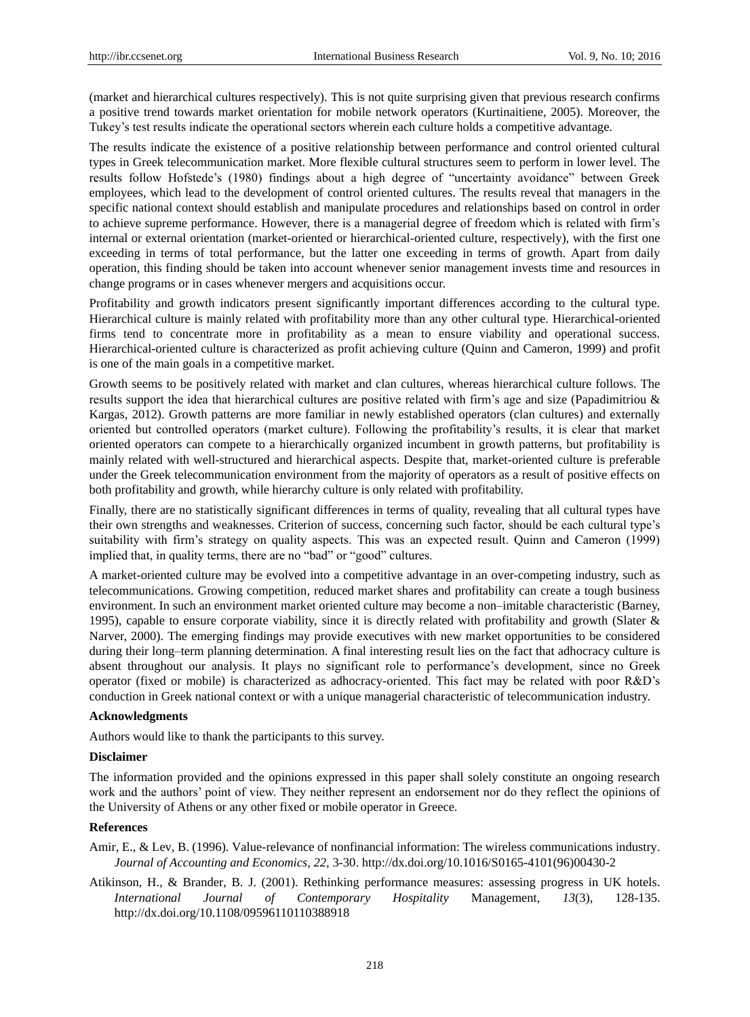(market and hierarchical cultures respectively). This is not quite surprising given that previous research confirms a positive trend towards market orientation for mobile network operators (Kurtinaitiene, 2005). Moreover, the Tukey"s test results indicate the operational sectors wherein each culture holds a competitive advantage.

The results indicate the existence of a positive relationship between performance and control oriented cultural types in Greek telecommunication market. More flexible cultural structures seem to perform in lower level. The results follow Hofstede"s (1980) findings about a high degree of "uncertainty avoidance" between Greek employees, which lead to the development of control oriented cultures. The results reveal that managers in the specific national context should establish and manipulate procedures and relationships based on control in order to achieve supreme performance. However, there is a managerial degree of freedom which is related with firm"s internal or external orientation (market-oriented or hierarchical-oriented culture, respectively), with the first one exceeding in terms of total performance, but the latter one exceeding in terms of growth. Apart from daily operation, this finding should be taken into account whenever senior management invests time and resources in change programs or in cases whenever mergers and acquisitions occur.

Profitability and growth indicators present significantly important differences according to the cultural type. Hierarchical culture is mainly related with profitability more than any other cultural type. Hierarchical-oriented firms tend to concentrate more in profitability as a mean to ensure viability and operational success. Hierarchical-oriented culture is characterized as profit achieving culture (Quinn and Cameron, 1999) and profit is one of the main goals in a competitive market.

Growth seems to be positively related with market and clan cultures, whereas hierarchical culture follows. The results support the idea that hierarchical cultures are positive related with firm"s age and size (Papadimitriou & Kargas, 2012). Growth patterns are more familiar in newly established operators (clan cultures) and externally oriented but controlled operators (market culture). Following the profitability"s results, it is clear that market oriented operators can compete to a hierarchically organized incumbent in growth patterns, but profitability is mainly related with well-structured and hierarchical aspects. Despite that, market-oriented culture is preferable under the Greek telecommunication environment from the majority of operators as a result of positive effects on both profitability and growth, while hierarchy culture is only related with profitability.

Finally, there are no statistically significant differences in terms of quality, revealing that all cultural types have their own strengths and weaknesses. Criterion of success, concerning such factor, should be each cultural type"s suitability with firm's strategy on quality aspects. This was an expected result. Quinn and Cameron (1999) implied that, in quality terms, there are no "bad" or "good" cultures.

A market-oriented culture may be evolved into a competitive advantage in an over-competing industry, such as telecommunications. Growing competition, reduced market shares and profitability can create a tough business environment. In such an environment market oriented culture may become a non–imitable characteristic (Barney, 1995), capable to ensure corporate viability, since it is directly related with profitability and growth (Slater  $\&$ Narver, 2000). The emerging findings may provide executives with new market opportunities to be considered during their long–term planning determination. A final interesting result lies on the fact that adhocracy culture is absent throughout our analysis. It plays no significant role to performance's development, since no Greek operator (fixed or mobile) is characterized as adhocracy-oriented. This fact may be related with poor R&D"s conduction in Greek national context or with a unique managerial characteristic of telecommunication industry.

## **Acknowledgments**

Authors would like to thank the participants to this survey.

#### **Disclaimer**

The information provided and the opinions expressed in this paper shall solely constitute an ongoing research work and the authors" point of view. They neither represent an endorsement nor do they reflect the opinions of the University of Athens or any other fixed or mobile operator in Greece.

# **References**

- Amir, E., & Lev, B. (1996). Value-relevance of nonfinancial information: The wireless communications industry. *Journal of Accounting and Economics, 22*, 3-30. [http://dx.doi.org/10.1016/S0165-4101\(96\)00430-2](http://dx.doi.org/10.1016/S0165-4101%2896%2900430-2)
- Atikinson, H., & Brander, B. J. (2001). Rethinking performance measures: assessing progress in UK hotels. *International Journal of Contemporary Hospitality* Management*, 13*(3), 128-135. <http://dx.doi.org/10.1108/09596110110388918>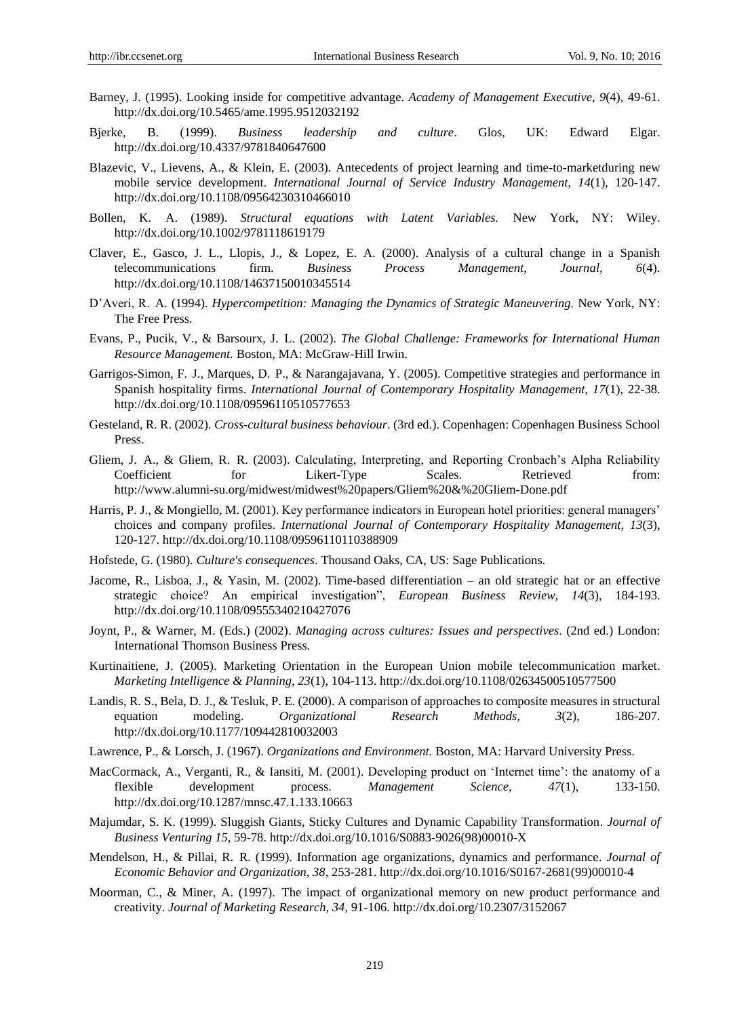- Barney, J. (1995). Looking inside for competitive advantage. *Academy of Management Executive*, *9*(4), 49-61. <http://dx.doi.org/10.5465/ame.1995.9512032192>
- Bjerke, B. (1999). *Business leadership and culture*. Glos, UK: Edward Elgar. <http://dx.doi.org/10.4337/9781840647600>
- Blazevic, V., Lievens, A., & Klein, E. (2003). Antecedents of project learning and time-to-marketduring new mobile service development. *International Journal of Service Industry Management*, *14*(1), 120-147. <http://dx.doi.org/10.1108/09564230310466010>
- Bollen, K. A. (1989). *Structural equations with Latent Variables.* New York, NY: Wiley. <http://dx.doi.org/10.1002/9781118619179>
- Claver, E., Gasco, J. L., Llopis, J., & Lopez, E. A. (2000). Analysis of a cultural change in a Spanish telecommunications firm. *Business Process Management, Journal, 6*(4). <http://dx.doi.org/10.1108/14637150010345514>
- D"Averi, R. A. (1994). *Hypercompetition: Managing the Dynamics of Strategic Maneuvering.* New York, NY: The Free Press.
- Evans, P., Pucik, V., & Barsourx, J. L. (2002). *The Global Challenge: Frameworks for International Human Resource Management.* Boston, MA: McGraw-Hill Irwin.
- Garrigos-Simon, F. J., Marques, D. P., & Narangajavana, Y. (2005). Competitive strategies and performance in Spanish hospitality firms. *International Journal of Contemporary Hospitality Management, 17*(1), 22-38. <http://dx.doi.org/10.1108/09596110510577653>
- Gesteland, R. R. (2002). *Cross-cultural business behaviour*. (3rd ed.). Copenhagen: Copenhagen Business School Press.
- Gliem, J. A., & Gliem, R. R. (2003). Calculating, Interpreting, and Reporting Cronbach"s Alpha Reliability Coefficient for Likert-Type Scales. Retrieved from: <http://www.alumni-su.org/midwest/midwest%20papers/Gliem%20&%20Gliem-Done.pdf>
- Harris, P. J., & Mongiello, M. (2001). Key performance indicators in European hotel priorities: general managers' choices and company profiles. *International Journal of Contemporary Hospitality Management*, *13*(3), 120-127. <http://dx.doi.org/10.1108/09596110110388909>
- Hofstede, G. (1980). *Culture's consequences*. Thousand Oaks, CA, US: Sage Publications.
- Jacome, R., Lisboa, J., & Yasin, M. (2002). Time-based differentiation an old strategic hat or an effective strategic choice? An empirical investigation", *European Business Review, 14*(3), 184-193. <http://dx.doi.org/10.1108/09555340210427076>
- Joynt, P., & Warner, M. (Eds.) (2002). *Managing across cultures: Issues and perspectives*. (2nd ed.) London: International Thomson Business Press.
- Kurtinaitiene, J. (2005). Marketing Orientation in the European Union mobile telecommunication market. *Marketing Intelligence & Planning, 23*(1), 104-113[. http://dx.doi.org/10.1108/02634500510577500](http://dx.doi.org/10.1108/02634500510577500)
- Landis, R. S., Bela, D. J., & Tesluk, P. E. (2000). A comparison of approaches to composite measures in structural equation modeling. *Organizational Research Methods, 3*(2), 186-207. <http://dx.doi.org/10.1177/109442810032003>
- Lawrence, P., & Lorsch, J. (1967). *Organizations and Environment.* Boston, MA: Harvard University Press.
- MacCormack, A., Verganti, R., & Iansiti, M. (2001). Developing product on 'Internet time': the anatomy of a flexible development process. *Management Science, 47*(1), 133-150. <http://dx.doi.org/10.1287/mnsc.47.1.133.10663>
- Majumdar, S. K. (1999). Sluggish Giants, Sticky Cultures and Dynamic Capability Transformation. *Journal of Business Venturing 15*, 59-78. [http://dx.doi.org/10.1016/S0883-9026\(98\)00010-X](http://dx.doi.org/10.1016/S0883-9026%2898%2900010-X)
- Mendelson, H., & Pillai, R. R. (1999). Information age organizations, dynamics and performance. *Journal of Economic Behavior and Organization, 38*, 253-281[. http://dx.doi.org/10.1016/S0167-2681\(99\)00010-4](http://dx.doi.org/10.1016/S0167-2681%2899%2900010-4)
- Moorman, C., & Miner, A. (1997). The impact of organizational memory on new product performance and creativity. *Journal of Marketing Research*, *34*, 91-106.<http://dx.doi.org/10.2307/3152067>